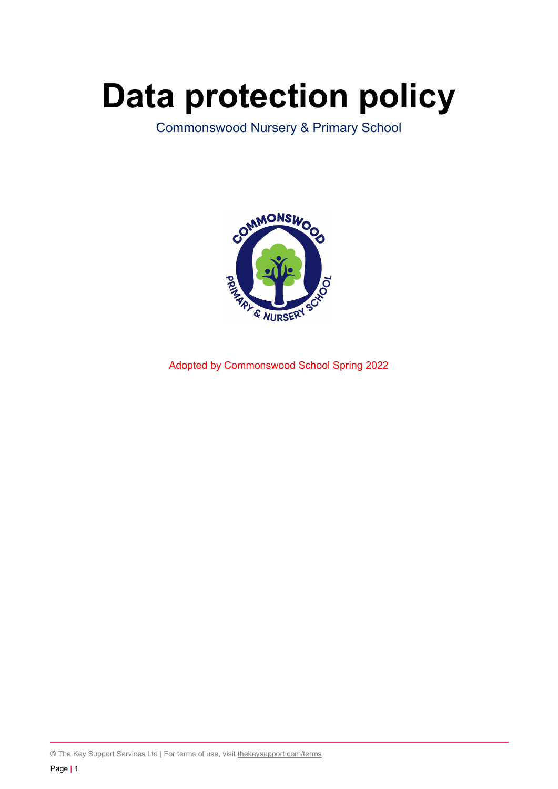# Data protection policy

Commonswood Nursery & Primary School



Adopted by Commonswood School Spring 2022

© The Key Support Services Ltd | For terms of use, visit thekeysupport.com/terms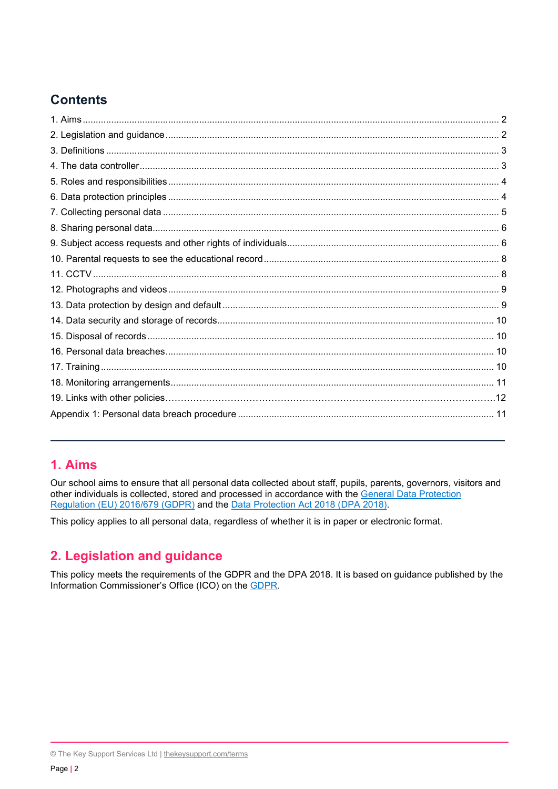# **Contents**

## 1. Aims

Our school aims to ensure that all personal data collected about staff, pupils, parents, governors, visitors and other individuals is collected, stored and processed in accordance with the General Data Protection Regulation (EU) 2016/679 (GDPR) and the Data Protection Act 2018 (DPA 2018).

This policy applies to all personal data, regardless of whether it is in paper or electronic format.

# 2. Legislation and guidance

This policy meets the requirements of the GDPR and the DPA 2018. It is based on guidance published by the Information Commissioner's Office (ICO) on the GDPR.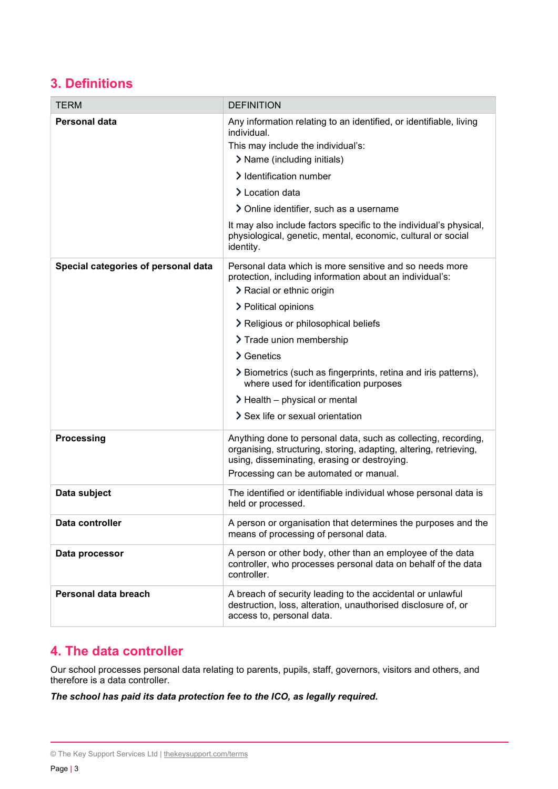# 3. Definitions

| <b>TERM</b>                         | <b>DEFINITION</b>                                                                                                                                                                                                             |
|-------------------------------------|-------------------------------------------------------------------------------------------------------------------------------------------------------------------------------------------------------------------------------|
| Personal data                       | Any information relating to an identified, or identifiable, living<br>individual.<br>This may include the individual's:<br>> Name (including initials)<br>> Identification number<br>> Location data                          |
|                                     | > Online identifier, such as a username                                                                                                                                                                                       |
|                                     | It may also include factors specific to the individual's physical,<br>physiological, genetic, mental, economic, cultural or social<br>identity.                                                                               |
| Special categories of personal data | Personal data which is more sensitive and so needs more<br>protection, including information about an individual's:<br>> Racial or ethnic origin                                                                              |
|                                     | > Political opinions                                                                                                                                                                                                          |
|                                     | > Religious or philosophical beliefs                                                                                                                                                                                          |
|                                     | > Trade union membership                                                                                                                                                                                                      |
|                                     | $\sum$ Genetics                                                                                                                                                                                                               |
|                                     | > Biometrics (such as fingerprints, retina and iris patterns),<br>where used for identification purposes                                                                                                                      |
|                                     | $\geq$ Health – physical or mental                                                                                                                                                                                            |
|                                     | Sex life or sexual orientation                                                                                                                                                                                                |
| <b>Processing</b>                   | Anything done to personal data, such as collecting, recording,<br>organising, structuring, storing, adapting, altering, retrieving,<br>using, disseminating, erasing or destroying.<br>Processing can be automated or manual. |
| Data subject                        | The identified or identifiable individual whose personal data is<br>held or processed.                                                                                                                                        |
| Data controller                     | A person or organisation that determines the purposes and the<br>means of processing of personal data.                                                                                                                        |
| Data processor                      | A person or other body, other than an employee of the data<br>controller, who processes personal data on behalf of the data<br>controller.                                                                                    |
| Personal data breach                | A breach of security leading to the accidental or unlawful<br>destruction, loss, alteration, unauthorised disclosure of, or<br>access to, personal data.                                                                      |

## 4. The data controller

Our school processes personal data relating to parents, pupils, staff, governors, visitors and others, and therefore is a data controller.

The school has paid its data protection fee to the ICO, as legally required.

<sup>©</sup> The Key Support Services Ltd | thekeysupport.com/terms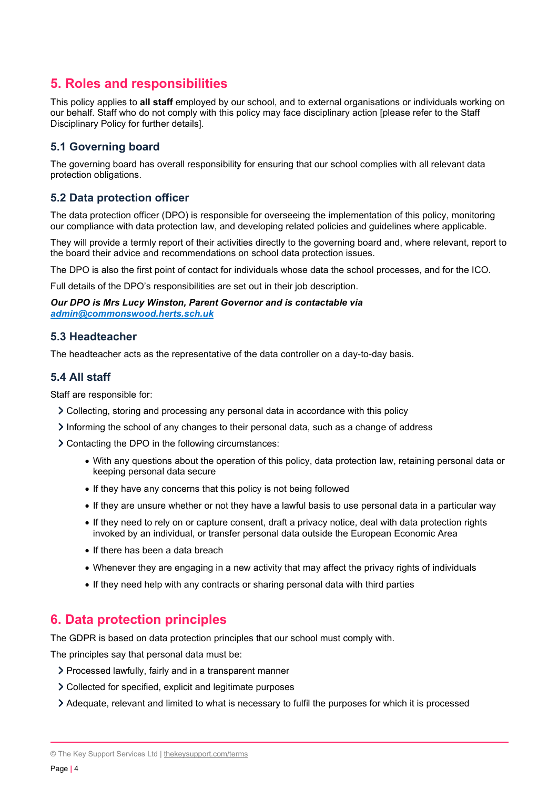# 5. Roles and responsibilities

This policy applies to all staff employed by our school, and to external organisations or individuals working on our behalf. Staff who do not comply with this policy may face disciplinary action [please refer to the Staff Disciplinary Policy for further details].

## 5.1 Governing board

The governing board has overall responsibility for ensuring that our school complies with all relevant data protection obligations.

## 5.2 Data protection officer

The data protection officer (DPO) is responsible for overseeing the implementation of this policy, monitoring our compliance with data protection law, and developing related policies and guidelines where applicable.

They will provide a termly report of their activities directly to the governing board and, where relevant, report to the board their advice and recommendations on school data protection issues.

The DPO is also the first point of contact for individuals whose data the school processes, and for the ICO.

Full details of the DPO's responsibilities are set out in their job description.

#### Our DPO is Mrs Lucy Winston, Parent Governor and is contactable via admin@commonswood.herts.sch.uk

#### 5.3 Headteacher

The headteacher acts as the representative of the data controller on a day-to-day basis.

#### 5.4 All staff

Staff are responsible for:

- Collecting, storing and processing any personal data in accordance with this policy
- $\geq$  Informing the school of any changes to their personal data, such as a change of address

Contacting the DPO in the following circumstances:

- With any questions about the operation of this policy, data protection law, retaining personal data or keeping personal data secure
- If they have any concerns that this policy is not being followed
- If they are unsure whether or not they have a lawful basis to use personal data in a particular way
- If they need to rely on or capture consent, draft a privacy notice, deal with data protection rights invoked by an individual, or transfer personal data outside the European Economic Area
- If there has been a data breach
- Whenever they are engaging in a new activity that may affect the privacy rights of individuals
- If they need help with any contracts or sharing personal data with third parties

## 6. Data protection principles

The GDPR is based on data protection principles that our school must comply with.

The principles say that personal data must be:

- Processed lawfully, fairly and in a transparent manner
- Collected for specified, explicit and legitimate purposes
- Adequate, relevant and limited to what is necessary to fulfil the purposes for which it is processed

<sup>©</sup> The Key Support Services Ltd | thekeysupport.com/terms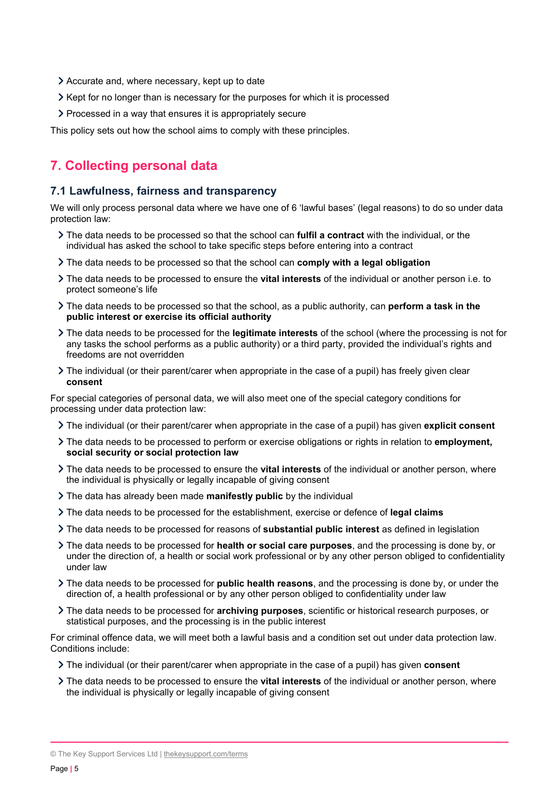- Accurate and, where necessary, kept up to date
- Xept for no longer than is necessary for the purposes for which it is processed
- Processed in a way that ensures it is appropriately secure

This policy sets out how the school aims to comply with these principles.

# 7. Collecting personal data

#### 7.1 Lawfulness, fairness and transparency

We will only process personal data where we have one of 6 'lawful bases' (legal reasons) to do so under data protection law:

- If the data needs to be processed so that the school can fulfil a contract with the individual, or the individual has asked the school to take specific steps before entering into a contract
- If The data needs to be processed so that the school can comply with a legal obligation
- The data needs to be processed to ensure the **vital interests** of the individual or another person i.e. to protect someone's life
- $\geq$  The data needs to be processed so that the school, as a public authority, can **perform a task in the** public interest or exercise its official authority
- > The data needs to be processed for the legitimate interests of the school (where the processing is not for any tasks the school performs as a public authority) or a third party, provided the individual's rights and freedoms are not overridden
- The individual (or their parent/carer when appropriate in the case of a pupil) has freely given clear consent

For special categories of personal data, we will also meet one of the special category conditions for processing under data protection law:

- > The individual (or their parent/carer when appropriate in the case of a pupil) has given explicit consent
- The data needs to be processed to perform or exercise obligations or rights in relation to **employment**, social security or social protection law
- If the data needs to be processed to ensure the **vital interests** of the individual or another person, where the individual is physically or legally incapable of giving consent
- > The data has already been made manifestly public by the individual
- $\geq$  The data needs to be processed for the establishment, exercise or defence of legal claims
- If the data needs to be processed for reasons of **substantial public interest** as defined in legislation
- The data needs to be processed for health or social care purposes, and the processing is done by, or under the direction of, a health or social work professional or by any other person obliged to confidentiality under law
- The data needs to be processed for **public health reasons**, and the processing is done by, or under the direction of, a health professional or by any other person obliged to confidentiality under law
- If the data needs to be processed for archiving purposes, scientific or historical research purposes, or statistical purposes, and the processing is in the public interest

For criminal offence data, we will meet both a lawful basis and a condition set out under data protection law. Conditions include:

- If The individual (or their parent/carer when appropriate in the case of a pupil) has given **consent**
- If the data needs to be processed to ensure the **vital interests** of the individual or another person, where the individual is physically or legally incapable of giving consent

<sup>©</sup> The Key Support Services Ltd | thekeysupport.com/terms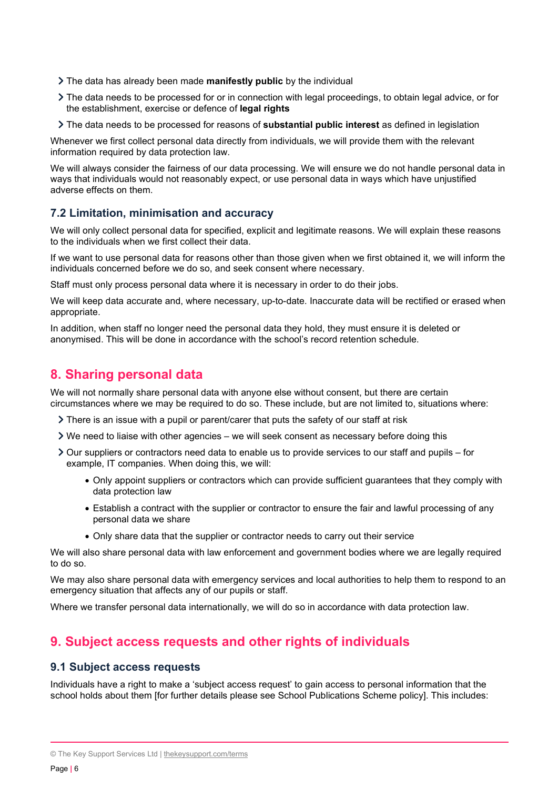- > The data has already been made manifestly public by the individual
- The data needs to be processed for or in connection with legal proceedings, to obtain legal advice, or for the establishment, exercise or defence of legal rights
- If the data needs to be processed for reasons of **substantial public interest** as defined in legislation

Whenever we first collect personal data directly from individuals, we will provide them with the relevant information required by data protection law.

We will always consider the fairness of our data processing. We will ensure we do not handle personal data in ways that individuals would not reasonably expect, or use personal data in ways which have unjustified adverse effects on them.

#### 7.2 Limitation, minimisation and accuracy

We will only collect personal data for specified, explicit and legitimate reasons. We will explain these reasons to the individuals when we first collect their data.

If we want to use personal data for reasons other than those given when we first obtained it, we will inform the individuals concerned before we do so, and seek consent where necessary.

Staff must only process personal data where it is necessary in order to do their jobs.

We will keep data accurate and, where necessary, up-to-date. Inaccurate data will be rectified or erased when appropriate.

In addition, when staff no longer need the personal data they hold, they must ensure it is deleted or anonymised. This will be done in accordance with the school's record retention schedule.

## 8. Sharing personal data

We will not normally share personal data with anyone else without consent, but there are certain circumstances where we may be required to do so. These include, but are not limited to, situations where:

- $\geq$  There is an issue with a pupil or parent/carer that puts the safety of our staff at risk
- $\triangleright$  We need to liaise with other agencies we will seek consent as necessary before doing this
- $\geq$  Our suppliers or contractors need data to enable us to provide services to our staff and pupils for example, IT companies. When doing this, we will:
	- Only appoint suppliers or contractors which can provide sufficient guarantees that they comply with data protection law
	- Establish a contract with the supplier or contractor to ensure the fair and lawful processing of any personal data we share
	- Only share data that the supplier or contractor needs to carry out their service

We will also share personal data with law enforcement and government bodies where we are legally required to do so.

We may also share personal data with emergency services and local authorities to help them to respond to an emergency situation that affects any of our pupils or staff.

Where we transfer personal data internationally, we will do so in accordance with data protection law.

## 9. Subject access requests and other rights of individuals

#### 9.1 Subject access requests

Individuals have a right to make a 'subject access request' to gain access to personal information that the school holds about them [for further details please see School Publications Scheme policy]. This includes: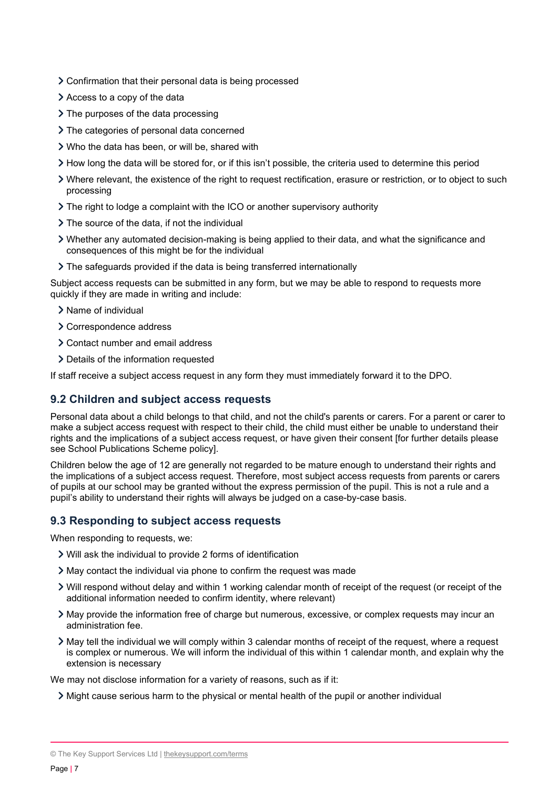- Confirmation that their personal data is being processed
- Access to a copy of the data
- $\geq$  The purposes of the data processing
- > The categories of personal data concerned
- Who the data has been, or will be, shared with
- How long the data will be stored for, or if this isn't possible, the criteria used to determine this period
- Where relevant, the existence of the right to request rectification, erasure or restriction, or to object to such processing
- The right to lodge a complaint with the ICO or another supervisory authority
- > The source of the data, if not the individual
- Whether any automated decision-making is being applied to their data, and what the significance and consequences of this might be for the individual
- The safeguards provided if the data is being transferred internationally

Subject access requests can be submitted in any form, but we may be able to respond to requests more quickly if they are made in writing and include:

- > Name of individual
- Correspondence address
- Contact number and email address
- Details of the information requested

If staff receive a subject access request in any form they must immediately forward it to the DPO.

#### 9.2 Children and subject access requests

Personal data about a child belongs to that child, and not the child's parents or carers. For a parent or carer to make a subject access request with respect to their child, the child must either be unable to understand their rights and the implications of a subject access request, or have given their consent [for further details please see School Publications Scheme policy].

Children below the age of 12 are generally not regarded to be mature enough to understand their rights and the implications of a subject access request. Therefore, most subject access requests from parents or carers of pupils at our school may be granted without the express permission of the pupil. This is not a rule and a pupil's ability to understand their rights will always be judged on a case-by-case basis.

## 9.3 Responding to subject access requests

When responding to requests, we:

- Will ask the individual to provide 2 forms of identification
- May contact the individual via phone to confirm the request was made
- Will respond without delay and within 1 working calendar month of receipt of the request (or receipt of the additional information needed to confirm identity, where relevant)
- May provide the information free of charge but numerous, excessive, or complex requests may incur an administration fee.
- $\geq$  May tell the individual we will comply within 3 calendar months of receipt of the request, where a request is complex or numerous. We will inform the individual of this within 1 calendar month, and explain why the extension is necessary

We may not disclose information for a variety of reasons, such as if it:

Might cause serious harm to the physical or mental health of the pupil or another individual

<sup>©</sup> The Key Support Services Ltd | thekeysupport.com/terms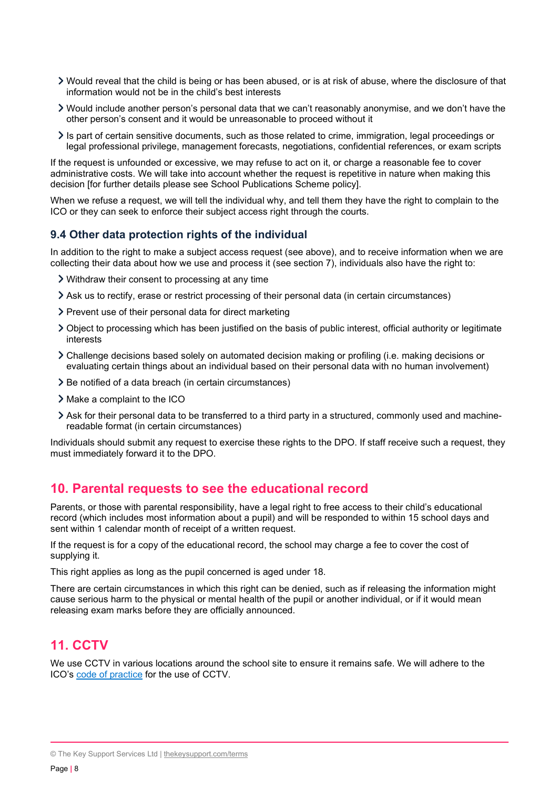- Would reveal that the child is being or has been abused, or is at risk of abuse, where the disclosure of that information would not be in the child's best interests
- Would include another person's personal data that we can't reasonably anonymise, and we don't have the other person's consent and it would be unreasonable to proceed without it
- $\ge$  Is part of certain sensitive documents, such as those related to crime, immigration, legal proceedings or legal professional privilege, management forecasts, negotiations, confidential references, or exam scripts

If the request is unfounded or excessive, we may refuse to act on it, or charge a reasonable fee to cover administrative costs. We will take into account whether the request is repetitive in nature when making this decision [for further details please see School Publications Scheme policy].

When we refuse a request, we will tell the individual why, and tell them they have the right to complain to the ICO or they can seek to enforce their subject access right through the courts.

#### 9.4 Other data protection rights of the individual

In addition to the right to make a subject access request (see above), and to receive information when we are collecting their data about how we use and process it (see section 7), individuals also have the right to:

- Withdraw their consent to processing at any time
- Ask us to rectify, erase or restrict processing of their personal data (in certain circumstances)
- > Prevent use of their personal data for direct marketing
- Object to processing which has been justified on the basis of public interest, official authority or legitimate interests
- Challenge decisions based solely on automated decision making or profiling (i.e. making decisions or evaluating certain things about an individual based on their personal data with no human involvement)
- > Be notified of a data breach (in certain circumstances)
- Make a complaint to the ICO
- Ask for their personal data to be transferred to a third party in a structured, commonly used and machinereadable format (in certain circumstances)

Individuals should submit any request to exercise these rights to the DPO. If staff receive such a request, they must immediately forward it to the DPO.

## 10. Parental requests to see the educational record

Parents, or those with parental responsibility, have a legal right to free access to their child's educational record (which includes most information about a pupil) and will be responded to within 15 school days and sent within 1 calendar month of receipt of a written request.

If the request is for a copy of the educational record, the school may charge a fee to cover the cost of supplying it.

This right applies as long as the pupil concerned is aged under 18.

There are certain circumstances in which this right can be denied, such as if releasing the information might cause serious harm to the physical or mental health of the pupil or another individual, or if it would mean releasing exam marks before they are officially announced.

## 11. CCTV

We use CCTV in various locations around the school site to ensure it remains safe. We will adhere to the ICO's code of practice for the use of CCTV.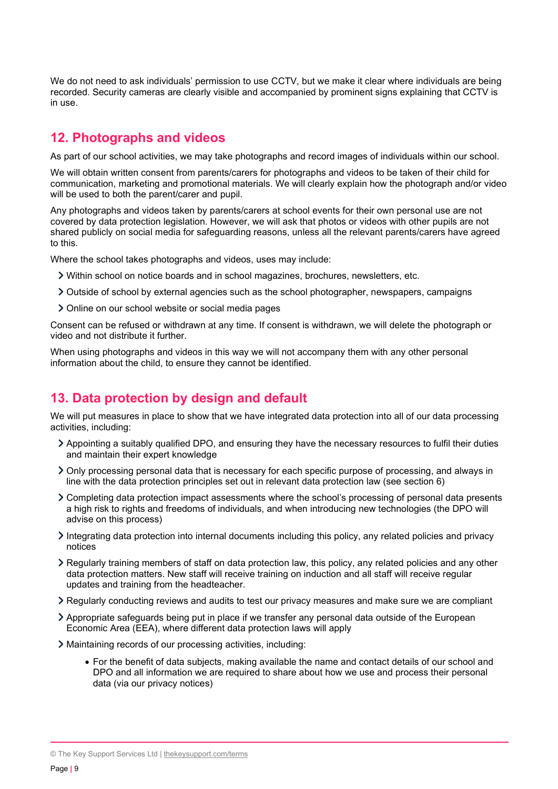We do not need to ask individuals' permission to use CCTV, but we make it clear where individuals are being recorded. Security cameras are clearly visible and accompanied by prominent signs explaining that CCTV is in use.

## 12. Photographs and videos

As part of our school activities, we may take photographs and record images of individuals within our school.

We will obtain written consent from parents/carers for photographs and videos to be taken of their child for communication, marketing and promotional materials. We will clearly explain how the photograph and/or video will be used to both the parent/carer and pupil.

Any photographs and videos taken by parents/carers at school events for their own personal use are not covered by data protection legislation. However, we will ask that photos or videos with other pupils are not shared publicly on social media for safeguarding reasons, unless all the relevant parents/carers have agreed to this.

Where the school takes photographs and videos, uses may include:

- Within school on notice boards and in school magazines, brochures, newsletters, etc.
- $\geq$  Outside of school by external agencies such as the school photographer, newspapers, campaigns
- Online on our school website or social media pages

Consent can be refused or withdrawn at any time. If consent is withdrawn, we will delete the photograph or video and not distribute it further.

When using photographs and videos in this way we will not accompany them with any other personal information about the child, to ensure they cannot be identified.

## 13. Data protection by design and default

We will put measures in place to show that we have integrated data protection into all of our data processing activities, including:

- Appointing a suitably qualified DPO, and ensuring they have the necessary resources to fulfil their duties and maintain their expert knowledge
- Only processing personal data that is necessary for each specific purpose of processing, and always in line with the data protection principles set out in relevant data protection law (see section 6)
- Completing data protection impact assessments where the school's processing of personal data presents a high risk to rights and freedoms of individuals, and when introducing new technologies (the DPO will advise on this process)
- Integrating data protection into internal documents including this policy, any related policies and privacy notices
- Regularly training members of staff on data protection law, this policy, any related policies and any other data protection matters. New staff will receive training on induction and all staff will receive regular updates and training from the headteacher.
- Regularly conducting reviews and audits to test our privacy measures and make sure we are compliant
- Appropriate safeguards being put in place if we transfer any personal data outside of the European Economic Area (EEA), where different data protection laws will apply
- Maintaining records of our processing activities, including:
	- For the benefit of data subjects, making available the name and contact details of our school and DPO and all information we are required to share about how we use and process their personal data (via our privacy notices)

<sup>©</sup> The Key Support Services Ltd | thekeysupport.com/terms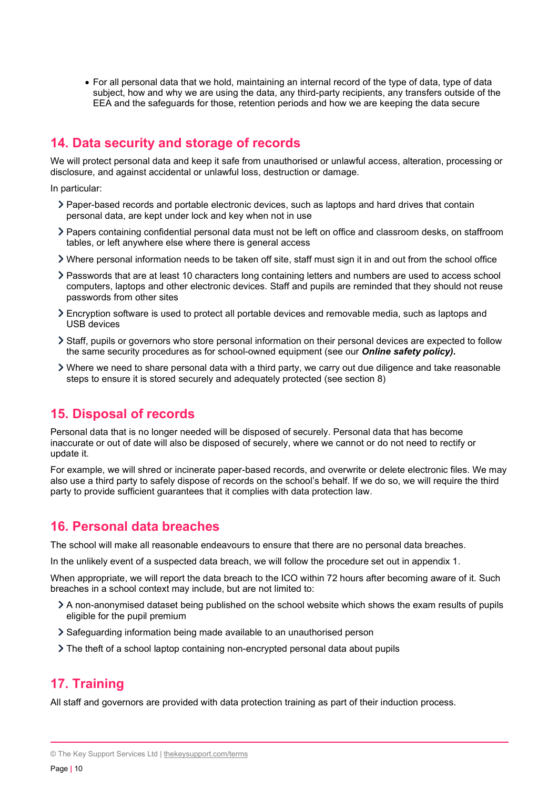For all personal data that we hold, maintaining an internal record of the type of data, type of data subject, how and why we are using the data, any third-party recipients, any transfers outside of the EEA and the safeguards for those, retention periods and how we are keeping the data secure

## 14. Data security and storage of records

We will protect personal data and keep it safe from unauthorised or unlawful access, alteration, processing or disclosure, and against accidental or unlawful loss, destruction or damage.

In particular:

- Paper-based records and portable electronic devices, such as laptops and hard drives that contain personal data, are kept under lock and key when not in use
- Papers containing confidential personal data must not be left on office and classroom desks, on staffroom tables, or left anywhere else where there is general access
- Where personal information needs to be taken off site, staff must sign it in and out from the school office
- Passwords that are at least 10 characters long containing letters and numbers are used to access school computers, laptops and other electronic devices. Staff and pupils are reminded that they should not reuse passwords from other sites
- Encryption software is used to protect all portable devices and removable media, such as laptops and USB devices
- Staff, pupils or governors who store personal information on their personal devices are expected to follow the same security procedures as for school-owned equipment (see our **Online safety policy).**
- Where we need to share personal data with a third party, we carry out due diligence and take reasonable steps to ensure it is stored securely and adequately protected (see section 8)

## 15. Disposal of records

Personal data that is no longer needed will be disposed of securely. Personal data that has become inaccurate or out of date will also be disposed of securely, where we cannot or do not need to rectify or update it.

For example, we will shred or incinerate paper-based records, and overwrite or delete electronic files. We may also use a third party to safely dispose of records on the school's behalf. If we do so, we will require the third party to provide sufficient guarantees that it complies with data protection law.

## 16. Personal data breaches

The school will make all reasonable endeavours to ensure that there are no personal data breaches.

In the unlikely event of a suspected data breach, we will follow the procedure set out in appendix 1.

When appropriate, we will report the data breach to the ICO within 72 hours after becoming aware of it. Such breaches in a school context may include, but are not limited to:

- A non-anonymised dataset being published on the school website which shows the exam results of pupils eligible for the pupil premium
- Safeguarding information being made available to an unauthorised person
- The theft of a school laptop containing non-encrypted personal data about pupils

## 17. Training

All staff and governors are provided with data protection training as part of their induction process.

<sup>©</sup> The Key Support Services Ltd | thekeysupport.com/terms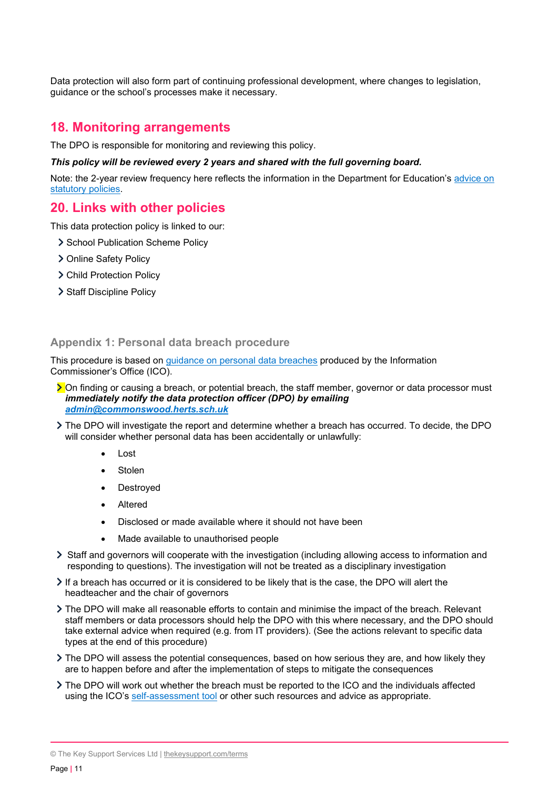Data protection will also form part of continuing professional development, where changes to legislation, guidance or the school's processes make it necessary.

## 18. Monitoring arrangements

The DPO is responsible for monitoring and reviewing this policy.

#### This policy will be reviewed every 2 years and shared with the full governing board.

Note: the 2-year review frequency here reflects the information in the Department for Education's advice on statutory policies.

## 20. Links with other policies

This data protection policy is linked to our:

- > School Publication Scheme Policy
- > Online Safety Policy
- > Child Protection Policy
- > Staff Discipline Policy

#### Appendix 1: Personal data breach procedure

This procedure is based on guidance on personal data breaches produced by the Information Commissioner's Office (ICO).

- > On finding or causing a breach, or potential breach, the staff member, governor or data processor must immediately notify the data protection officer (DPO) by emailing admin@commonswood.herts.sch.uk
- The DPO will investigate the report and determine whether a breach has occurred. To decide, the DPO will consider whether personal data has been accidentally or unlawfully:
	- Lost
	- Stolen
	- Destroyed
	- Altered
	- Disclosed or made available where it should not have been
	- Made available to unauthorised people
- $\geq$  Staff and governors will cooperate with the investigation (including allowing access to information and responding to questions). The investigation will not be treated as a disciplinary investigation
- If a breach has occurred or it is considered to be likely that is the case, the DPO will alert the headteacher and the chair of governors
- The DPO will make all reasonable efforts to contain and minimise the impact of the breach. Relevant staff members or data processors should help the DPO with this where necessary, and the DPO should take external advice when required (e.g. from IT providers). (See the actions relevant to specific data types at the end of this procedure)
- The DPO will assess the potential consequences, based on how serious they are, and how likely they are to happen before and after the implementation of steps to mitigate the consequences
- The DPO will work out whether the breach must be reported to the ICO and the individuals affected using the ICO's self-assessment tool or other such resources and advice as appropriate.

© The Key Support Services Ltd | thekeysupport.com/terms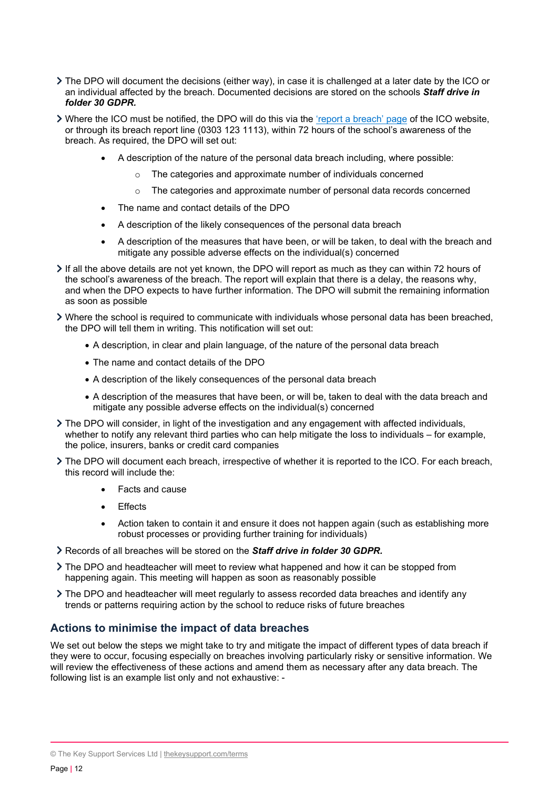- The DPO will document the decisions (either way), in case it is challenged at a later date by the ICO or an individual affected by the breach. Documented decisions are stored on the schools Staff drive in folder 30 GDPR.
- Where the ICO must be notified, the DPO will do this via the 'report a breach' page of the ICO website, or through its breach report line (0303 123 1113), within 72 hours of the school's awareness of the breach. As required, the DPO will set out:
	- A description of the nature of the personal data breach including, where possible:
		- o The categories and approximate number of individuals concerned
		- o The categories and approximate number of personal data records concerned
	- The name and contact details of the DPO
	- A description of the likely consequences of the personal data breach
	- A description of the measures that have been, or will be taken, to deal with the breach and mitigate any possible adverse effects on the individual(s) concerned
- $\geq$  If all the above details are not yet known, the DPO will report as much as they can within 72 hours of the school's awareness of the breach. The report will explain that there is a delay, the reasons why, and when the DPO expects to have further information. The DPO will submit the remaining information as soon as possible
- Where the school is required to communicate with individuals whose personal data has been breached, the DPO will tell them in writing. This notification will set out:
	- A description, in clear and plain language, of the nature of the personal data breach
	- The name and contact details of the DPO
	- A description of the likely consequences of the personal data breach
	- A description of the measures that have been, or will be, taken to deal with the data breach and mitigate any possible adverse effects on the individual(s) concerned
- The DPO will consider, in light of the investigation and any engagement with affected individuals, whether to notify any relevant third parties who can help mitigate the loss to individuals – for example, the police, insurers, banks or credit card companies
- The DPO will document each breach, irrespective of whether it is reported to the ICO. For each breach, this record will include the:
	- Facts and cause
	- **Effects**
	- Action taken to contain it and ensure it does not happen again (such as establishing more robust processes or providing further training for individuals)
- S Records of all breaches will be stored on the **Staff drive in folder 30 GDPR**
- The DPO and headteacher will meet to review what happened and how it can be stopped from happening again. This meeting will happen as soon as reasonably possible
- The DPO and headteacher will meet regularly to assess recorded data breaches and identify any trends or patterns requiring action by the school to reduce risks of future breaches

## Actions to minimise the impact of data breaches

We set out below the steps we might take to try and mitigate the impact of different types of data breach if they were to occur, focusing especially on breaches involving particularly risky or sensitive information. We will review the effectiveness of these actions and amend them as necessary after any data breach. The following list is an example list only and not exhaustive: -

<sup>©</sup> The Key Support Services Ltd | thekeysupport.com/terms